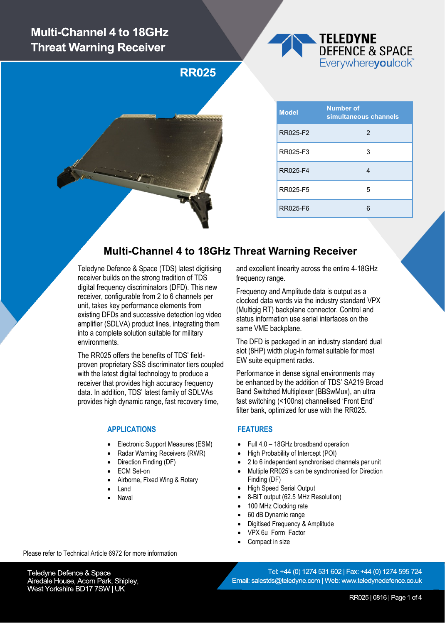# **Multi-Channel 4 to 18GHz Threat Warning Receiver**

**TELEDYNE DEFENCE & SPACE** Everywhereyoulook<sup>"</sup>

**RR025** 

| <b>Model</b> | <b>Number of</b><br>simultaneous channels |  |  |  |
|--------------|-------------------------------------------|--|--|--|
| RR025-F2     | 2                                         |  |  |  |
| RR025-F3     | 3                                         |  |  |  |
| RR025-F4     |                                           |  |  |  |
| RR025-F5     | 5                                         |  |  |  |
| RR025-F6     |                                           |  |  |  |

### **Multi-Channel 4 to 18GHz Threat Warning Receiver**

Teledyne Defence & Space (TDS) latest digitising receiver builds on the strong tradition of TDS digital frequency discriminators (DFD). This new receiver, configurable from 2 to 6 channels per unit, takes key performance elements from existing DFDs and successive detection log video amplifier (SDLVA) product lines, integrating them into a complete solution suitable for military environments.

The RR025 offers the benefits of TDS' fieldproven proprietary SSS discriminator tiers coupled with the latest digital technology to produce a receiver that provides high accuracy frequency data. In addition, TDS' latest family of SDLVAs provides high dynamic range, fast recovery time,

#### **APPLICATIONS**

- Electronic Support Measures (ESM)
- Radar Warning Receivers (RWR)
- Direction Finding (DF)
- ECM Set-on
- Airborne, Fixed Wing & Rotary
- Land
- Naval

and excellent linearity across the entire 4-18GHz frequency range.

Frequency and Amplitude data is output as a clocked data words via the industry standard VPX (Multigig RT) backplane connector. Control and status information use serial interfaces on the same VME backplane.

The DFD is packaged in an industry standard dual slot (8HP) width plug-in format suitable for most EW suite equipment racks.

Performance in dense signal environments may be enhanced by the addition of TDS' SA219 Broad Band Switched Multiplexer (BBSwMux), an ultra fast switching (<100ns) channelised 'Front End' filter bank, optimized for use with the RR025.

#### **FEATURES**

- Full 4.0 18GHz broadband operation
- High Probability of Intercept (POI)
- 2 to 6 independent synchronised channels per unit
- Multiple RR025's can be synchronised for Direction Finding (DF)
- High Speed Serial Output
- 8-BIT output (62.5 MHz Resolution)
- 100 MHz Clocking rate
- 60 dB Dynamic range
- Digitised Frequency & Amplitude
- VPX 6u Form Factor
- Compact in size

Teledyne Defence & Space Airedale House, Acorn Park, Shipley, West Yorkshire BD17 7SW | UK

Please refer to Technical Article 6972 for more information

Tel: +44 (0) 1274 531 602 | Fax: +44 (0) 1274 595 724 Email: salestds@teledyne.com | Web: www.teledynedefence.co.uk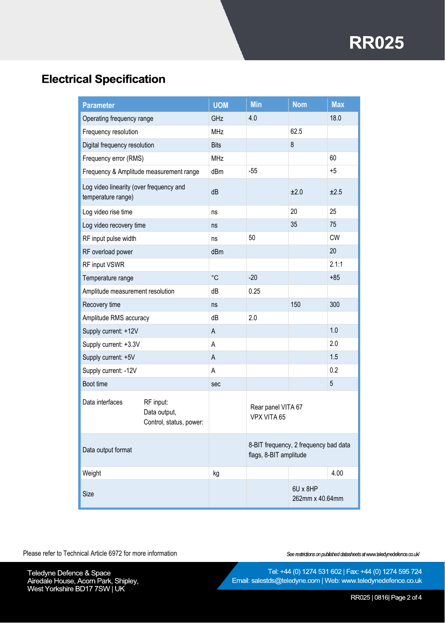# **RR025**

# **Electrical Specification**

| <b>Parameter</b>                                              |                                                      | <b>UOM</b>  | <b>Min</b>                                                      | <b>Nom</b>                  | <b>Max</b> |
|---------------------------------------------------------------|------------------------------------------------------|-------------|-----------------------------------------------------------------|-----------------------------|------------|
| Operating frequency range                                     |                                                      | GHz         | 4.0                                                             |                             | 18.0       |
| Frequency resolution                                          |                                                      | <b>MHz</b>  |                                                                 | 62.5                        |            |
| Digital frequency resolution                                  |                                                      | <b>Bits</b> |                                                                 | 8                           |            |
| Frequency error (RMS)                                         |                                                      | <b>MHz</b>  |                                                                 |                             | 60         |
| Frequency & Amplitude measurement range                       |                                                      | dBm         | $-55$                                                           |                             | $+5$       |
| Log video linearity (over frequency and<br>temperature range) |                                                      | dB          |                                                                 | ±2.0                        | ±2.5       |
| Log video rise time                                           |                                                      | ns          |                                                                 | 20                          | 25         |
| Log video recovery time                                       |                                                      | ns          |                                                                 | 35                          | 75         |
| RF input pulse width                                          |                                                      | ns          | 50                                                              |                             | <b>CW</b>  |
| RF overload power                                             |                                                      | dBm         |                                                                 |                             | 20         |
| RF input VSWR                                                 |                                                      |             |                                                                 |                             | 2.1:1      |
| Temperature range                                             |                                                      | $^{\circ}C$ | $-20$                                                           |                             | $+85$      |
| Amplitude measurement resolution                              |                                                      | dB          | 0.25                                                            |                             |            |
| Recovery time                                                 |                                                      | ns          |                                                                 | 150                         | 300        |
| Amplitude RMS accuracy                                        |                                                      | dB          | 2.0                                                             |                             |            |
| Supply current: +12V                                          |                                                      | $\mathsf A$ |                                                                 |                             | 1.0        |
| Supply current: +3.3V                                         |                                                      | Α           |                                                                 |                             | 2.0        |
| Supply current: +5V                                           |                                                      | A           |                                                                 |                             | 1.5        |
| Supply current: - 12V                                         |                                                      | Α           |                                                                 |                             | 0.2        |
| Boot time                                                     |                                                      | sec         |                                                                 |                             | 5          |
| Data interfaces                                               | RF input:<br>Data output,<br>Control, status, power: |             | Rear panel VITA 67<br>VPX VITA 65                               |                             |            |
| Data output format                                            |                                                      |             | 8-BIT frequency, 2 frequency bad data<br>flags, 8-BIT amplitude |                             |            |
| Weight                                                        |                                                      | kg          |                                                                 |                             | 4.00       |
| Size                                                          |                                                      |             |                                                                 | 6U x 8HP<br>262mm x 40.64mm |            |

Please refer to Technical Article 6972 for more information

See restrictions on published datasheets at www.teledynedefence.co.uk/

Teledyne Defence & Space<br>Airedale House, Acorn Park, Shipley,<br>West Yorkshire BD17 7SW | UK

Tel: +44 (0) 1274 531 602 | Fax: +44 (0) 1274 595 724 Email: salestds@teledyne.com | Web: www.teledynedefence.co.uk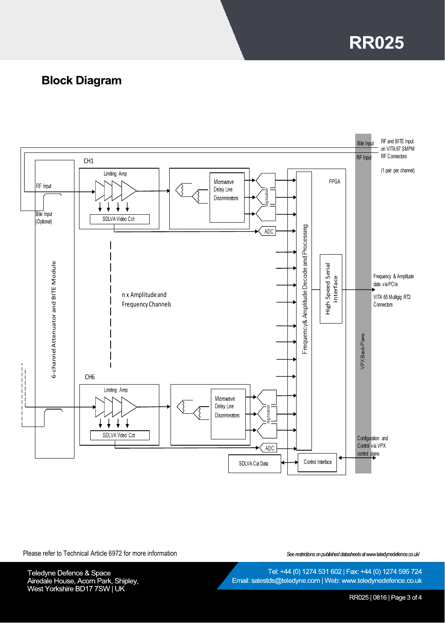**RR025** 

## **Block Diagram**



Please refer to Technical Article 6972 for more information

See restrictions on published datasheets at www.teledynedefence.co.uk/

Teledyne Defence & Space<br>Airedale House, Acorn Park, Shipley,<br>West Yorkshire BD17 7SW | UK

Email: salestds@teledyne.com | Web: www.teledynedefence.co.uk

Tel: +44 (0) 1274 531 602 | Fax: +44 (0) 1274 595 724

RR025 | 0816 | Page 3 of 4